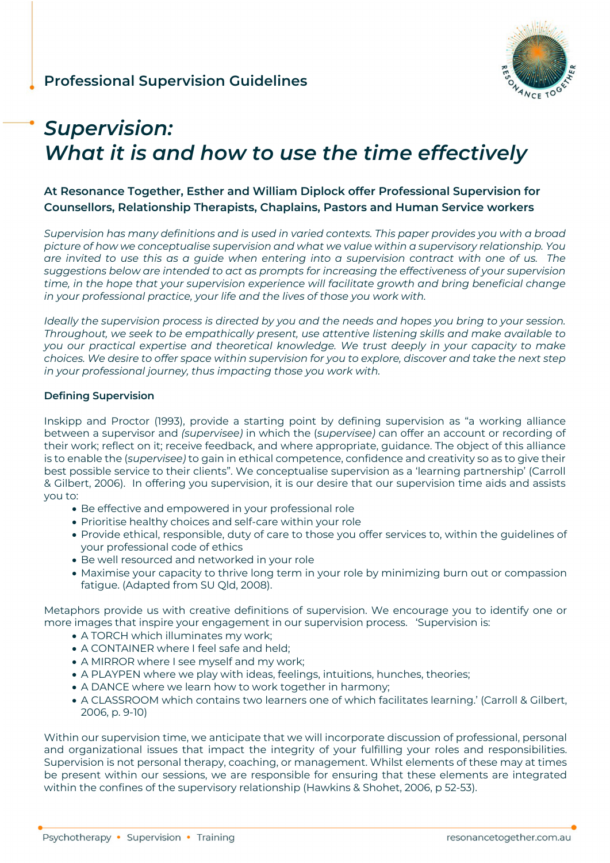

# *Supervision: What it is and how to use the time effectively*

# **At Resonance Together, Esther and William Diplock offer Professional Supervision for Counsellors, Relationship Therapists, Chaplains, Pastors and Human Service workers**

*Supervision has many definitions and is used in varied contexts. This paper provides you with a broad picture of how we conceptualise supervision and what we value within a supervisory relationship. You are invited to use this as a guide when entering into a supervision contract with one of us. The suggestions below are intended to act as prompts for increasing the effectiveness of your supervision time, in the hope that your supervision experience will facilitate growth and bring beneficial change in your professional practice, your life and the lives of those you work with.* 

*Ideally the supervision process is directed by you and the needs and hopes you bring to your session. Throughout, we seek to be empathically present, use attentive listening skills and make available to you our practical expertise and theoretical knowledge. We trust deeply in your capacity to make choices. We desire to offer space within supervision for you to explore, discover and take the next step in your professional journey, thus impacting those you work with.* 

### **Defining Supervision**

Inskipp and Proctor (1993), provide a starting point by defining supervision as "a working alliance between a supervisor and *(supervisee)* in which the (*supervisee)* can offer an account or recording of their work; reflect on it; receive feedback, and where appropriate, guidance. The object of this alliance is to enable the (*supervisee)* to gain in ethical competence, confidence and creativity so as to give their best possible service to their clients". We conceptualise supervision as a 'learning partnership' (Carroll & Gilbert, 2006). In offering you supervision, it is our desire that our supervision time aids and assists you to:

- Be effective and empowered in your professional role
- Prioritise healthy choices and self-care within your role
- Provide ethical, responsible, duty of care to those you offer services to, within the guidelines of your professional code of ethics
- Be well resourced and networked in your role
- Maximise your capacity to thrive long term in your role by minimizing burn out or compassion fatigue. (Adapted from SU Qld, 2008).

Metaphors provide us with creative definitions of supervision. We encourage you to identify one or more images that inspire your engagement in our supervision process. 'Supervision is:

- A TORCH which illuminates my work;
- A CONTAINER where I feel safe and held;
- A MIRROR where I see myself and my work;
- A PLAYPEN where we play with ideas, feelings, intuitions, hunches, theories;
- A DANCE where we learn how to work together in harmony;
- A CLASSROOM which contains two learners one of which facilitates learning.' (Carroll & Gilbert, 2006, p. 9-10)

Within our supervision time, we anticipate that we will incorporate discussion of professional, personal and organizational issues that impact the integrity of your fulfilling your roles and responsibilities. Supervision is not personal therapy, coaching, or management. Whilst elements of these may at times be present within our sessions, we are responsible for ensuring that these elements are integrated within the confines of the supervisory relationship (Hawkins & Shohet, 2006, p 52-53).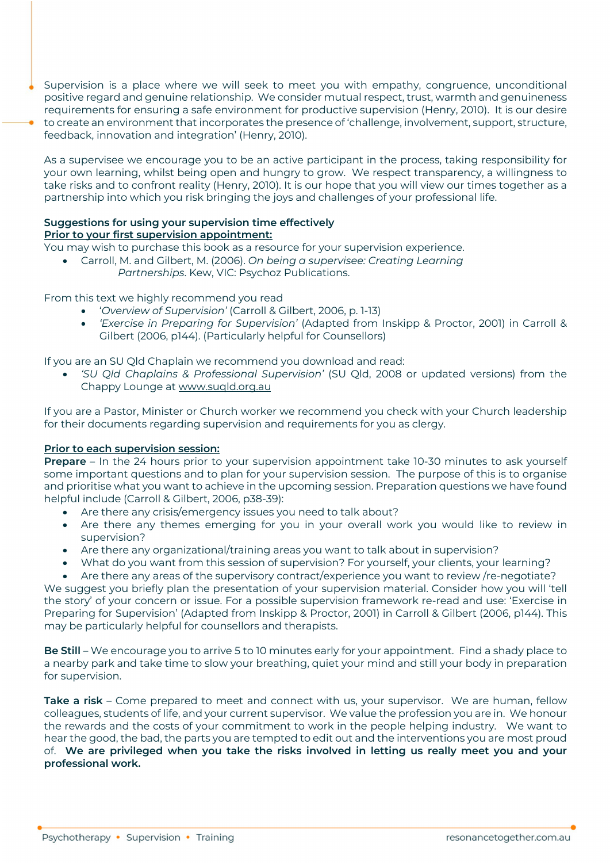Supervision is a place where we will seek to meet you with empathy, congruence, unconditional positive regard and genuine relationship. We consider mutual respect, trust, warmth and genuineness requirements for ensuring a safe environment for productive supervision (Henry, 2010). It is our desire to create an environment that incorporates the presence of 'challenge, involvement, support, structure, feedback, innovation and integration' (Henry, 2010).

As a supervisee we encourage you to be an active participant in the process, taking responsibility for your own learning, whilst being open and hungry to grow. We respect transparency, a willingness to take risks and to confront reality (Henry, 2010). It is our hope that you will view our times together as a partnership into which you risk bringing the joys and challenges of your professional life.

## **Suggestions for using your supervision time effectively Prior to your first supervision appointment:**

You may wish to purchase this book as a resource for your supervision experience.

• Carroll, M. and Gilbert, M. (2006). *On being a supervisee: Creating Learning Partnerships*. Kew, VIC: Psychoz Publications.

From this text we highly recommend you read

- '*Overview of Supervision'* (Carroll & Gilbert, 2006, p. 1-13)
- *'Exercise in Preparing for Supervision'* (Adapted from Inskipp & Proctor, 2001) in Carroll & Gilbert (2006, p144). (Particularly helpful for Counsellors)

If you are an SU Qld Chaplain we recommend you download and read:

• *'SU Qld Chaplains & Professional Supervision'* (SU Qld, 2008 or updated versions) from the Chappy Lounge at www.suqld.org.au

If you are a Pastor, Minister or Church worker we recommend you check with your Church leadership for their documents regarding supervision and requirements for you as clergy.

### **Prior to each supervision session:**

**Prepare** – In the 24 hours prior to your supervision appointment take 10-30 minutes to ask yourself some important questions and to plan for your supervision session. The purpose of this is to organise and prioritise what you want to achieve in the upcoming session. Preparation questions we have found helpful include (Carroll & Gilbert, 2006, p38-39):

- Are there any crisis/emergency issues you need to talk about?
- Are there any themes emerging for you in your overall work you would like to review in supervision?
- Are there any organizational/training areas you want to talk about in supervision?
- What do you want from this session of supervision? For yourself, your clients, your learning?
- Are there any areas of the supervisory contract/experience you want to review /re-negotiate?

We suggest you briefly plan the presentation of your supervision material. Consider how you will 'tell the story' of your concern or issue. For a possible supervision framework re-read and use: 'Exercise in Preparing for Supervision' (Adapted from Inskipp & Proctor, 2001) in Carroll & Gilbert (2006, p144). This may be particularly helpful for counsellors and therapists.

**Be Still** – We encourage you to arrive 5 to 10 minutes early for your appointment. Find a shady place to a nearby park and take time to slow your breathing, quiet your mind and still your body in preparation for supervision.

**Take a risk** – Come prepared to meet and connect with us, your supervisor. We are human, fellow colleagues, students of life, and your current supervisor. We value the profession you are in. We honour the rewards and the costs of your commitment to work in the people helping industry. We want to hear the good, the bad, the parts you are tempted to edit out and the interventions you are most proud of. **We are privileged when you take the risks involved in letting us really meet you and your professional work.**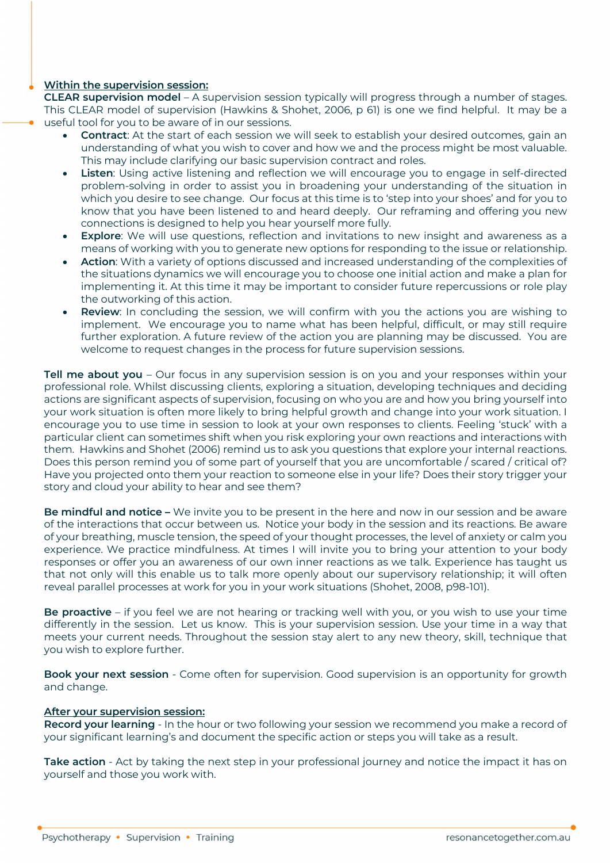#### **Within the supervision session:**

**CLEAR supervision model** – A supervision session typically will progress through a number of stages. This CLEAR model of supervision (Hawkins & Shohet, 2006, p 61) is one we find helpful. It may be a useful tool for you to be aware of in our sessions.

- **Contract**: At the start of each session we will seek to establish your desired outcomes, gain an understanding of what you wish to cover and how we and the process might be most valuable. This may include clarifying our basic supervision contract and roles.
- **Listen**: Using active listening and reflection we will encourage you to engage in self-directed problem-solving in order to assist you in broadening your understanding of the situation in which you desire to see change. Our focus at this time is to 'step into your shoes' and for you to know that you have been listened to and heard deeply. Our reframing and offering you new connections is designed to help you hear yourself more fully.
- **Explore**: We will use questions, reflection and invitations to new insight and awareness as a means of working with you to generate new options for responding to the issue or relationship.
- **Action**: With a variety of options discussed and increased understanding of the complexities of the situations dynamics we will encourage you to choose one initial action and make a plan for implementing it. At this time it may be important to consider future repercussions or role play the outworking of this action.
- **Review**: In concluding the session, we will confirm with you the actions you are wishing to implement. We encourage you to name what has been helpful, difficult, or may still require further exploration. A future review of the action you are planning may be discussed. You are welcome to request changes in the process for future supervision sessions.

**Tell me about you** – Our focus in any supervision session is on you and your responses within your professional role. Whilst discussing clients, exploring a situation, developing techniques and deciding actions are significant aspects of supervision, focusing on who you are and how you bring yourself into your work situation is often more likely to bring helpful growth and change into your work situation. I encourage you to use time in session to look at your own responses to clients. Feeling 'stuck' with a particular client can sometimes shift when you risk exploring your own reactions and interactions with them. Hawkins and Shohet (2006) remind us to ask you questions that explore your internal reactions. Does this person remind you of some part of yourself that you are uncomfortable / scared / critical of? Have you projected onto them your reaction to someone else in your life? Does their story trigger your story and cloud your ability to hear and see them?

**Be mindful and notice –** We invite you to be present in the here and now in our session and be aware of the interactions that occur between us. Notice your body in the session and its reactions. Be aware of your breathing, muscle tension, the speed of your thought processes, the level of anxiety or calm you experience. We practice mindfulness. At times I will invite you to bring your attention to your body responses or offer you an awareness of our own inner reactions as we talk. Experience has taught us that not only will this enable us to talk more openly about our supervisory relationship; it will often reveal parallel processes at work for you in your work situations (Shohet, 2008, p98-101).

**Be proactive** – if you feel we are not hearing or tracking well with you, or you wish to use your time differently in the session. Let us know. This is your supervision session. Use your time in a way that meets your current needs. Throughout the session stay alert to any new theory, skill, technique that you wish to explore further.

**Book your next session** - Come often for supervision. Good supervision is an opportunity for growth and change.

#### **After your supervision session:**

**Record your learning** - In the hour or two following your session we recommend you make a record of your significant learning's and document the specific action or steps you will take as a result.

**Take action** - Act by taking the next step in your professional journey and notice the impact it has on yourself and those you work with.